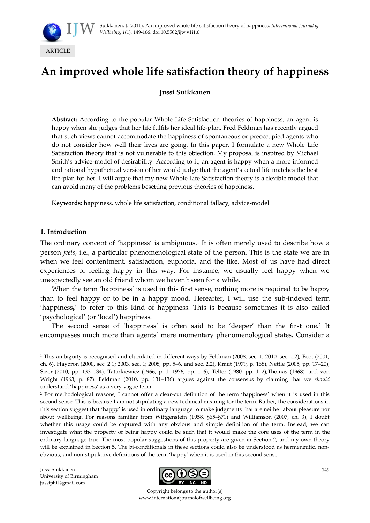

# **An improved whole life satisfaction theory of happiness**

# **Jussi Suikkanen**

**Abstract:** According to the popular Whole Life Satisfaction theories of happiness, an agent is happy when she judges that her life fulfils her ideal life-plan. Fred Feldman has recently argued that such views cannot accommodate the happiness of spontaneous or preoccupied agents who do not consider how well their lives are going. In this paper, I formulate a new Whole Life Satisfaction theory that is not vulnerable to this objection. My proposal is inspired by Michael Smith's advice-model of desirability. According to it, an agent is happy when a more informed and rational hypothetical version of her would judge that the agent's actual life matches the best life-plan for her. I will argue that my new Whole Life Satisfaction theory is a flexible model that can avoid many of the problems besetting previous theories of happiness.

**Keywords:** happiness, whole life satisfaction, conditional fallacy, advice-model

#### **1. Introduction**

1

The ordinary concept of 'happiness' is ambiguous.<sup>1</sup> It is often merely used to describe how a person *feels*, i.e., a particular phenomenological state of the person. This is the state we are in when we feel contentment, satisfaction, euphoria, and the like. Most of us have had direct experiences of feeling happy in this way. For instance, we usually feel happy when we unexpectedly see an old friend whom we haven't seen for a while.

When the term 'happiness' is used in this first sense, nothing more is required to be happy than to feel happy or to be in a happy mood. Hereafter, I will use the sub-indexed term 'happiness<sub>p</sub>' to refer to this kind of happiness. This is because sometimes it is also called 'psychological' (or 'local') happiness.

The second sense of 'happiness' is often said to be 'deeper' than the first one.<sup>2</sup> It encompasses much more than agents' mere momentary phenomenological states. Consider a

Jussi Suikkanen University of Birmingham jussiphil@gmail.com



Copyright belongs to the author(s) www.internationaljournalofwellbeing.org

<sup>&</sup>lt;sup>1</sup> This ambiguity is recognised and elucidated in different ways by Feldman (2008, sec. 1; 2010, sec. 1.2), Foot (2001, ch. 6), Haybron (2000, sec. 2.1; 2003, sec. 1; 2008, pp. 5–6, and sec. 2.2), Kraut (1979, p. 168), Nettle (2005, pp. 17–20), Sizer (2010, pp. 133–134), Tatarkiewicz (1966, p. 1; 1976, pp. 1–6), Telfer (1980, pp. 1–2),Thomas (1968), and von Wright (1963, p. 87). Feldman (2010, pp. 131–136) argues against the consensus by claiming that we *should* understand 'happiness' as a very vague term.

<sup>2</sup> For methodological reasons, I cannot offer a clear-cut definition of the term 'happiness' when it is used in this second sense. This is because I am not stipulating a new technical meaning for the term. Rather, the considerations in this section suggest that 'happy' is used in ordinary language to make judgments that are neither about pleasure nor about wellbeing. For reasons familiar from Wittgenstein (1958, §65–§71) and Williamson (2007, ch. 3), I doubt whether this usage could be captured with any obvious and simple definition of the term. Instead, we can investigate what the property of being happy could be such that it would make the core uses of the term in the ordinary language true. The most popular suggestions of this property are given in Section 2, and my own theory will be explained in Section 5. The bi-conditionals in these sections could also be understood as hermeneutic, nonobvious, and non-stipulative definitions of the term 'happy' when it is used in this second sense.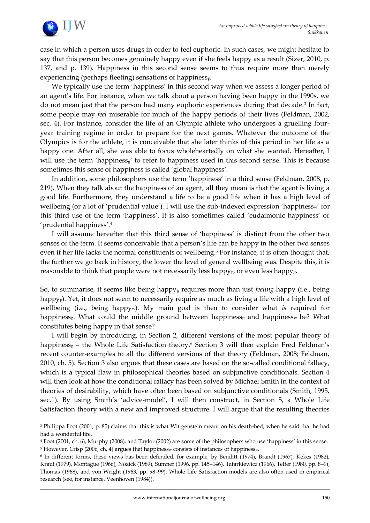

1

case in which a person uses drugs in order to feel euphoric. In such cases, we might hesitate to say that this person becomes genuinely happy even if she feels happy as a result (Sizer, 2010, p. 137, and p. 139). Happiness in this second sense seems to thus require more than merely experiencing (perhaps fleeting) sensations of happinessp.

We typically use the term 'happiness' in this second way when we assess a longer period of an agent's life. For instance, when we talk about a person having been happy in the 1990s, we do not mean just that the person had many euphoric experiences during that decade.<sup>3</sup> In fact, some people may *feel* miserable for much of the happy periods of their lives (Feldman, 2002, sec. 4). For instance, consider the life of an Olympic athlete who undergoes a gruelling fouryear training regime in order to prepare for the next games. Whatever the outcome of the Olympics is for the athlete, it is conceivable that she later thinks of this period in her life as a happy one. After all, she was able to focus wholeheartedly on what she wanted. Hereafter, I will use the term 'happiness<sub>g</sub>' to refer to happiness used in this second sense. This is because sometimes this sense of happiness is called 'global happiness'.

In addition, some philosophers use the term 'happiness' in a third sense (Feldman, 2008, p. 219). When they talk about the happiness of an agent, all they mean is that the agent is living a good life. Furthermore, they understand a life to be a good life when it has a high level of wellbeing (or a lot of 'prudential value'). I will use the sub-indexed expression 'happiness<sub>w</sub>' for this third use of the term 'happiness'. It is also sometimes called 'eudaimonic happiness' or 'prudential happiness'.<sup>4</sup>

I will assume hereafter that this third sense of 'happiness' is distinct from the other two senses of the term. It seems conceivable that a person's life can be happy in the other two senses even if her life lacks the normal constituents of wellbeing.<sup>5</sup> For instance, it is often thought that, the further we go back in history, the lower the level of general wellbeing was. Despite this, it is reasonable to think that people were not necessarily less happy<sub>p</sub>, or even less happy<sub>g</sub>.

So, to summarise, it seems like being happy<sup>g</sup> requires more than just *feeling* happy (i.e., being happy<sub>p</sub>). Yet, it does not seem to necessarily require as much as living a life with a high level of wellbeing (i.e., being happyw). My main goal is then to consider what *is* required for happiness<sub>g</sub>. What could the middle ground between happiness<sub>p</sub> and happiness<sub>w</sub> be? What constitutes being happy in that sense?

I will begin by introducing, in Section 2, different versions of the most popular theory of happiness<sub>g</sub> – the Whole Life Satisfaction theory.<sup>6</sup> Section 3 will then explain Fred Feldman's recent counter-examples to all the different versions of that theory (Feldman, 2008; Feldman, 2010, ch. 5). Section 3 also argues that these cases are based on the so-called conditional fallacy, which is a typical flaw in philosophical theories based on subjunctive conditionals. Section 4 will then look at how the conditional fallacy has been solved by Michael Smith in the context of theories of desirability, which have often been based on subjunctive conditionals (Smith, 1995, sec.1). By using Smith's 'advice-model', I will then construct, in Section 5, a Whole Life Satisfaction theory with a new and improved structure. I will argue that the resulting theories

<sup>3</sup> Philippa Foot (2001, p. 85) claims that this is what Wittgenstein meant on his death-bed, when he said that he had had a wonderful life.

<sup>4</sup> Foot (2001, ch. 6), Murphy (2008), and Taylor (2002) are some of the philosophers who use 'happiness' in this sense.

<sup>&</sup>lt;sup>5</sup> However, Crisp (2006, ch. 4) argues that happiness<sub>w</sub> consists of instances of happiness<sub>p</sub>.

<sup>6</sup> In different forms, these views has been defended, for example, by Benditt (1974), Brandt (1967), Kekes (1982), Kraut (1979), Montague (1966), Nozick (1989), Sumner (1996, pp. 145–146), Tatarkiewicz (1966), Telfer (1980, pp. 8–9), Thomas (1968), and von Wright (1963, pp. 98–99). Whole Life Satisfaction models are also often used in empirical research (see, for instance, Veenhoven (1984)).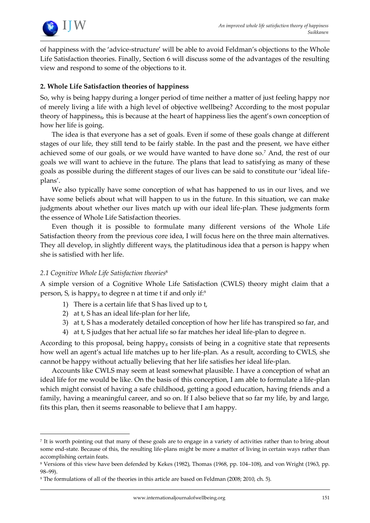

of happiness with the 'advice-structure' will be able to avoid Feldman's objections to the Whole Life Satisfaction theories. Finally, Section 6 will discuss some of the advantages of the resulting view and respond to some of the objections to it.

# **2. Whole Life Satisfaction theories of happiness**

So, why is being happy during a longer period of time neither a matter of just feeling happy nor of merely living a life with a high level of objective wellbeing? According to the most popular theory of happinessg, this is because at the heart of happiness lies the agent's own conception of how her life is going.

The idea is that everyone has a set of goals. Even if some of these goals change at different stages of our life, they still tend to be fairly stable. In the past and the present, we have either achieved some of our goals, or we would have wanted to have done so.<sup>7</sup> And, the rest of our goals we will want to achieve in the future. The plans that lead to satisfying as many of these goals as possible during the different stages of our lives can be said to constitute our 'ideal lifeplans'.

We also typically have some conception of what has happened to us in our lives, and we have some beliefs about what will happen to us in the future. In this situation, we can make judgments about whether our lives match up with our ideal life-plan. These judgments form the essence of Whole Life Satisfaction theories.

Even though it is possible to formulate many different versions of the Whole Life Satisfaction theory from the previous core idea, I will focus here on the three main alternatives. They all develop, in slightly different ways, the platitudinous idea that a person is happy when she is satisfied with her life.

# *2.1 Cognitive Whole Life Satisfaction theories*<sup>8</sup>

1

A simple version of a Cognitive Whole Life Satisfaction (CWLS) theory might claim that a person, S, is happyg to degree n at time t if and only if: $9$ 

- 1) There is a certain life that S has lived up to t,
- 2) at t, S has an ideal life-plan for her life,
- 3) at t, S has a moderately detailed conception of how her life has transpired so far, and
- 4) at t, S judges that her actual life so far matches her ideal life-plan to degree n.

According to this proposal, being happy<sub>g</sub> consists of being in a cognitive state that represents how well an agent's actual life matches up to her life-plan. As a result, according to CWLS, she cannot be happy without actually believing that her life satisfies her ideal life-plan.

Accounts like CWLS may seem at least somewhat plausible. I have a conception of what an ideal life for me would be like. On the basis of this conception, I am able to formulate a life-plan which might consist of having a safe childhood, getting a good education, having friends and a family, having a meaningful career, and so on. If I also believe that so far my life, by and large, fits this plan, then it seems reasonable to believe that I am happy.

<sup>7</sup> It is worth pointing out that many of these goals are to engage in a variety of activities rather than to bring about some end-state. Because of this, the resulting life-plans might be more a matter of living in certain ways rather than accomplishing certain feats.

<sup>8</sup> Versions of this view have been defended by Kekes (1982), Thomas (1968, pp. 104–108), and von Wright (1963, pp. 98–99).

<sup>9</sup> The formulations of all of the theories in this article are based on Feldman (2008; 2010, ch. 5).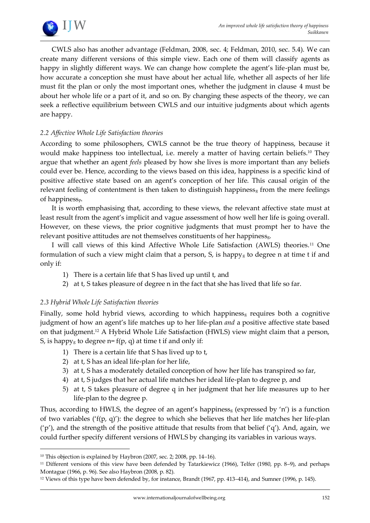

CWLS also has another advantage (Feldman, 2008, sec. 4; Feldman, 2010, sec. 5.4). We can create many different versions of this simple view. Each one of them will classify agents as happy in slightly different ways. We can change how complete the agent's life-plan must be, how accurate a conception she must have about her actual life, whether all aspects of her life must fit the plan or only the most important ones, whether the judgment in clause 4 must be about her whole life or a part of it, and so on. By changing these aspects of the theory, we can seek a reflective equilibrium between CWLS and our intuitive judgments about which agents are happy.

# *2.2 Affective Whole Life Satisfaction theories*

According to some philosophers, CWLS cannot be the true theory of happiness, because it would make happiness too intellectual, i.e. merely a matter of having certain beliefs. <sup>10</sup> They argue that whether an agent *feels* pleased by how she lives is more important than any beliefs could ever be. Hence, according to the views based on this idea, happiness is a specific kind of positive affective state based on an agent's conception of her life. This causal origin of the relevant feeling of contentment is then taken to distinguish happiness<sub>g</sub> from the mere feelings of happinessp.

It is worth emphasising that, according to these views, the relevant affective state must at least result from the agent's implicit and vague assessment of how well her life is going overall. However, on these views, the prior cognitive judgments that must prompt her to have the relevant positive attitudes are not themselves constituents of her happiness<sub>g</sub>.

I will call views of this kind Affective Whole Life Satisfaction (AWLS) theories.<sup>11</sup> One formulation of such a view might claim that a person,  $S$ , is happy<sub>g</sub> to degree n at time t if and only if:

- 1) There is a certain life that S has lived up until t, and
- 2) at t, S takes pleasure of degree n in the fact that she has lived that life so far.

# *2.3 Hybrid Whole Life Satisfaction theories*

<u>.</u>

Finally, some hold hybrid views, according to which happiness<sub>g</sub> requires both a cognitive judgment of how an agent's life matches up to her life-plan *and* a positive affective state based on that judgment.<sup>12</sup> A Hybrid Whole Life Satisfaction (HWLS) view might claim that a person, S, is happy<sub>g</sub> to degree  $n = f(p, q)$  at time t if and only if:

- 1) There is a certain life that S has lived up to t,
- 2) at t, S has an ideal life-plan for her life,
- 3) at t, S has a moderately detailed conception of how her life has transpired so far,
- 4) at t, S judges that her actual life matches her ideal life-plan to degree p, and
- 5) at t, S takes pleasure of degree q in her judgment that her life measures up to her life-plan to the degree p.

Thus, according to HWLS, the degree of an agent's happiness<sub>g</sub> (expressed by 'n') is a function of two variables (' $f(p, q)$ '): the degree to which she believes that her life matches her life-plan  $'p'$ ), and the strength of the positive attitude that results from that belief  $'q'$ ). And, again, we could further specify different versions of HWLS by changing its variables in various ways.

<sup>&</sup>lt;sup>10</sup> This objection is explained by Haybron (2007, sec. 2; 2008, pp. 14-16).

<sup>11</sup> Different versions of this view have been defended by Tatarkiewicz (1966), Telfer (1980, pp. 8–9), and perhaps Montague (1966, p. 96). See also Haybron (2008, p. 82).

<sup>12</sup> Views of this type have been defended by, for instance, Brandt (1967, pp. 413–414), and Sumner (1996, p. 145).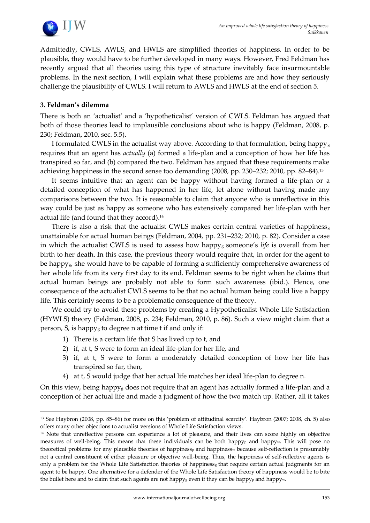

Admittedly, CWLS, AWLS, and HWLS are simplified theories of happiness. In order to be plausible, they would have to be further developed in many ways. However, Fred Feldman has recently argued that all theories using this type of structure inevitably face insurmountable problems. In the next section, I will explain what these problems are and how they seriously challenge the plausibility of CWLS. I will return to AWLS and HWLS at the end of section 5.

### **3. Feldman's dilemma**

<u>.</u>

There is both an 'actualist' and a 'hypotheticalist' version of CWLS. Feldman has argued that both of those theories lead to implausible conclusions about who is happy (Feldman, 2008, p. 230; Feldman, 2010, sec. 5.5).

I formulated CWLS in the actualist way above. According to that formulation, being happyg requires that an agent has *actually* (a) formed a life-plan and a conception of how her life has transpired so far, and (b) compared the two. Feldman has argued that these requirements make achieving happiness in the second sense too demanding (2008, pp. 230–232; 2010, pp. 82–84).<sup>13</sup>

It seems intuitive that an agent can be happy without having formed a life-plan or a detailed conception of what has happened in her life, let alone without having made any comparisons between the two. It is reasonable to claim that anyone who is unreflective in this way could be just as happy as someone who has extensively compared her life-plan with her actual life (and found that they accord). 14

There is also a risk that the actualist CWLS makes certain central varieties of happiness $_s$ unattainable for actual human beings (Feldman, 2004, pp. 231–232; 2010, p. 82). Consider a case in which the actualist CWLS is used to assess how happy<sup>g</sup> someone's *life* is overall from her birth to her death. In this case, the previous theory would require that, in order for the agent to be happy<sub>g</sub>, she would have to be capable of forming a sufficiently comprehensive awareness of her whole life from its very first day to its end. Feldman seems to be right when he claims that actual human beings are probably not able to form such awareness (ibid.). Hence, one consequence of the actualist CWLS seems to be that no actual human being could live a happy life. This certainly seems to be a problematic consequence of the theory.

We could try to avoid these problems by creating a Hypotheticalist Whole Life Satisfaction (HYWLS) theory (Feldman, 2008, p. 234; Feldman, 2010, p. 86). Such a view might claim that a person, S, is happy<sub>g</sub> to degree n at time t if and only if:

- 1) There is a certain life that S has lived up to t, and
- 2) if, at t, S were to form an ideal life-plan for her life, and
- 3) if, at t, S were to form a moderately detailed conception of how her life has transpired so far, then,
- 4) at t, S would judge that her actual life matches her ideal life-plan to degree n.

On this view, being happy<sup>g</sup> does not require that an agent has actually formed a life-plan and a conception of her actual life and made a judgment of how the two match up. Rather, all it takes

<sup>13</sup> See Haybron (2008, pp. 85–86) for more on this 'problem of attitudinal scarcity'. Haybron (2007; 2008, ch. 5) also offers many other objections to actualist versions of Whole Life Satisfaction views.

<sup>&</sup>lt;sup>14</sup> Note that unreflective persons can experience a lot of pleasure, and their lives can score highly on objective measures of well-being. This means that these individuals can be both happy<sub>p</sub> and happy<sub>w</sub>. This will pose no theoretical problems for any plausible theories of happiness<sub>p</sub> and happiness<sub>w</sub> because self-reflection is presumably not a central constituent of either pleasure or objective well-being. Thus, the happiness of self-reflective agents is only a problem for the Whole Life Satisfaction theories of happinessg that require certain actual judgments for an agent to be happy. One alternative for a defender of the Whole Life Satisfaction theory of happiness would be to bite the bullet here and to claim that such agents are not happy<sub>g</sub> even if they can be happy<sub>p</sub> and happy<sub>w</sub>.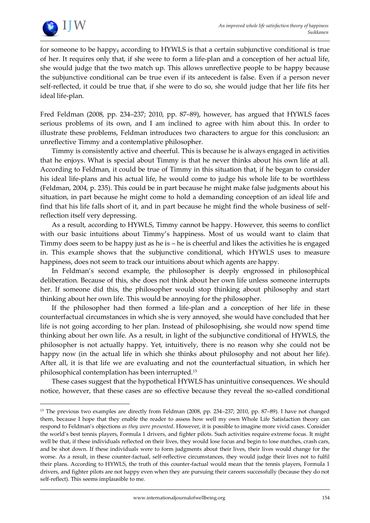

<u>.</u>

for someone to be happy<sup>g</sup> according to HYWLS is that a certain subjunctive conditional is true of her. It requires only that, if she were to form a life-plan and a conception of her actual life, she would judge that the two match up. This allows unreflective people to be happy because the subjunctive conditional can be true even if its antecedent is false. Even if a person never self-reflected, it could be true that, if she were to do so, she would judge that her life fits her ideal life-plan.

Fred Feldman (2008, pp. 234–237; 2010, pp. 87–89), however, has argued that HYWLS faces serious problems of its own, and I am inclined to agree with him about this. In order to illustrate these problems, Feldman introduces two characters to argue for this conclusion: an unreflective Timmy and a contemplative philosopher.

Timmy is consistently active and cheerful. This is because he is always engaged in activities that he enjoys. What is special about Timmy is that he never thinks about his own life at all. According to Feldman, it could be true of Timmy in this situation that, if he began to consider his ideal life-plans and his actual life, he would come to judge his whole life to be worthless (Feldman, 2004, p. 235). This could be in part because he might make false judgments about his situation, in part because he might come to hold a demanding conception of an ideal life and find that his life falls short of it, and in part because he might find the whole business of selfreflection itself very depressing.

As a result, according to HYWLS, Timmy cannot be happy. However, this seems to conflict with our basic intuitions about Timmy's happiness. Most of us would want to claim that Timmy does seem to be happy just as he is – he is cheerful and likes the activities he is engaged in. This example shows that the subjunctive conditional, which HYWLS uses to measure happiness, does not seem to track our intuitions about which agents are happy.

In Feldman's second example, the philosopher is deeply engrossed in philosophical deliberation. Because of this, she does not think about her own life unless someone interrupts her. If someone did this, the philosopher would stop thinking about philosophy and start thinking about her own life. This would be annoying for the philosopher.

If the philosopher had then formed a life-plan and a conception of her life in these counterfactual circumstances in which she is very annoyed, she would have concluded that her life is not going according to her plan. Instead of philosophising, she would now spend time thinking about her own life. As a result, in light of the subjunctive conditional of HYWLS, the philosopher is not actually happy. Yet, intuitively, there is no reason why she could not be happy now (in the actual life in which she thinks about philosophy and not about her life). After all, it is that life we are evaluating and not the counterfactual situation, in which her philosophical contemplation has been interrupted.<sup>15</sup>

These cases suggest that the hypothetical HYWLS has unintuitive consequences. We should notice, however, that these cases are so effective because they reveal the so-called conditional

<sup>15</sup> The previous two examples are directly from Feldman (2008, pp. 234–237; 2010, pp. 87–89). I have not changed them, because I hope that they enable the reader to assess how well my own Whole Life Satisfaction theory can respond to Feldman's objections *as they were presented*. However, it is possible to imagine more vivid cases. Consider the world's best tennis players, Formula 1 drivers, and fighter pilots. Such activities require extreme focus. It might well be that, if these individuals reflected on their lives, they would lose focus and begin to lose matches, crash cars, and be shot down. If these individuals were to form judgments about their lives, their lives would change for the worse. As a result, in these counter-factual, self-reflective circumstances, they would judge their lives not to fulfil their plans. According to HYWLS, the truth of this counter-factual would mean that the tennis players, Formula 1 drivers, and fighter pilots are not happy even when they are pursuing their careers successfully (because they do not self-reflect). This seems implausible to me.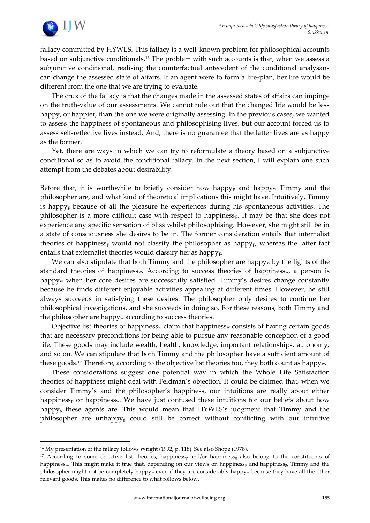

fallacy committed by HYWLS. This fallacy is a well-known problem for philosophical accounts based on subjunctive conditionals.<sup>16</sup> The problem with such accounts is that, when we assess a subjunctive conditional, realising the counterfactual antecedent of the conditional analysans can change the assessed state of affairs. If an agent were to form a life-plan, her life would be different from the one that we are trying to evaluate.

The crux of the fallacy is that the changes made in the assessed states of affairs can impinge on the truth-value of our assessments. We cannot rule out that the changed life would be less happy, or happier, than the one we were originally assessing. In the previous cases, we wanted to assess the happiness of spontaneous and philosophising lives, but our account forced us to assess self-reflective lives instead. And, there is no guarantee that the latter lives are as happy as the former.

Yet, there are ways in which we can try to reformulate a theory based on a subjunctive conditional so as to avoid the conditional fallacy. In the next section, I will explain one such attempt from the debates about desirability.

Before that, it is worthwhile to briefly consider how happy<sub>p</sub> and happy<sub>w</sub> Timmy and the philosopher are, and what kind of theoretical implications this might have. Intuitively, Timmy is happy<sup>p</sup> because of all the pleasure he experiences during his spontaneous activities. The philosopher is a more difficult case with respect to happinessp. It may be that she does not experience any specific sensation of bliss whilst philosophising. However, she might still be in a state of consciousness she desires to be in. The former consideration entails that internalist theories of happiness<sub>p</sub> would not classify the philosopher as happy<sub>p</sub>, whereas the latter fact entails that externalist theories would classify her as happy<sub>p</sub>.

We can also stipulate that both Timmy and the philosopher are happy<sub>w</sub> by the lights of the standard theories of happiness<sub>w</sub>. According to success theories of happiness<sub>w</sub>, a person is happy<sup>w</sup> when her core desires are successfully satisfied. Timmy's desires change constantly because he finds different enjoyable activities appealing at different times. However, he still always succeeds in satisfying these desires. The philosopher only desires to continue her philosophical investigations, and she succeeds in doing so. For these reasons, both Timmy and the philosopher are happy<sup>w</sup> according to success theories.

Objective list theories of happiness<sup>w</sup> claim that happiness<sup>w</sup> consists of having certain goods that are necessary preconditions for being able to pursue any reasonable conception of a good life. These goods may include wealth, health, knowledge, important relationships, autonomy, and so on. We can stipulate that both Timmy and the philosopher have a sufficient amount of these goods.<sup>17</sup> Therefore, according to the objective list theories too, they both count as happy<sub>w</sub>.

These considerations suggest one potential way in which the Whole Life Satisfaction theories of happiness might deal with Feldman's objection. It could be claimed that, when we consider Timmy's and the philosopher's happiness, our intuitions are really about either happiness<sub>p</sub> or happiness<sub>w</sub>. We have just confused these intuitions for our beliefs about how happy<sup>g</sup> these agents are. This would mean that HYWLS's judgment that Timmy and the philosopher are unhappy<sup>g</sup> could still be correct without conflicting with our intuitive

1

<sup>&</sup>lt;sup>16</sup> My presentation of the fallacy follows Wright (1992, p. 118). See also Shope (1978).

<sup>&</sup>lt;sup>17</sup> According to some objective list theories, happiness<sub>p</sub> and/or happiness<sub>g</sub> also belong to the constituents of happinessw. This might make it true that, depending on our views on happiness<sub>p</sub> and happiness<sub>g</sub>, Timmy and the philosopher might not be completely happy<sup>w</sup> even if they are considerably happy<sup>w</sup> because they have all the other relevant goods. This makes no difference to what follows below.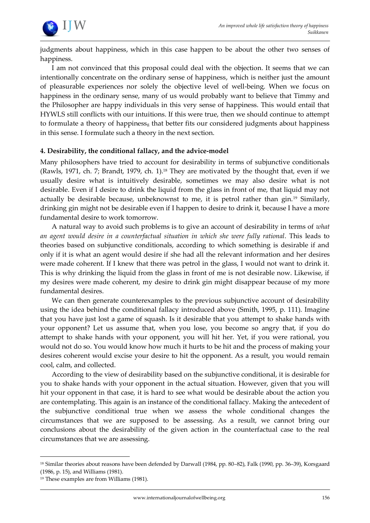

judgments about happiness, which in this case happen to be about the other two senses of happiness.

I am not convinced that this proposal could deal with the objection. It seems that we can intentionally concentrate on the ordinary sense of happiness, which is neither just the amount of pleasurable experiences nor solely the objective level of well-being. When we focus on happiness in the ordinary sense, many of us would probably want to believe that Timmy and the Philosopher are happy individuals in this very sense of happiness. This would entail that HYWLS still conflicts with our intuitions. If this were true, then we should continue to attempt to formulate a theory of happiness<sub>g</sub> that better fits our considered judgments about happiness in this sense. I formulate such a theory in the next section.

#### **4. Desirability, the conditional fallacy, and the advice-model**

Many philosophers have tried to account for desirability in terms of subjunctive conditionals (Rawls, 1971, ch. 7; Brandt, 1979, ch. 1).<sup>18</sup> They are motivated by the thought that, even if we usually desire what is intuitively desirable, sometimes we may also desire what is not desirable. Even if I desire to drink the liquid from the glass in front of me, that liquid may not actually be desirable because, unbeknownst to me, it is petrol rather than gin.<sup>19</sup> Similarly, drinking gin might not be desirable even if I happen to desire to drink it, because I have a more fundamental desire to work tomorrow.

A natural way to avoid such problems is to give an account of desirability in terms of *what an agent would desire in a counterfactual situation in which she were fully rational*. This leads to theories based on subjunctive conditionals, according to which something is desirable if and only if it is what an agent would desire if she had all the relevant information and her desires were made coherent. If I knew that there was petrol in the glass, I would not want to drink it. This is why drinking the liquid from the glass in front of me is not desirable now. Likewise, if my desires were made coherent, my desire to drink gin might disappear because of my more fundamental desires.

We can then generate counterexamples to the previous subjunctive account of desirability using the idea behind the conditional fallacy introduced above (Smith, 1995, p. 111). Imagine that you have just lost a game of squash. Is it desirable that you attempt to shake hands with your opponent? Let us assume that, when you lose, you become so angry that, if you do attempt to shake hands with your opponent, you will hit her. Yet, if you were rational, you would not do so. You would know how much it hurts to be hit and the process of making your desires coherent would excise your desire to hit the opponent. As a result, you would remain cool, calm, and collected.

According to the view of desirability based on the subjunctive conditional, it is desirable for you to shake hands with your opponent in the actual situation. However, given that you will hit your opponent in that case, it is hard to see what would be desirable about the action you are contemplating. This again is an instance of the conditional fallacy. Making the antecedent of the subjunctive conditional true when we assess the whole conditional changes the circumstances that we are supposed to be assessing. As a result, we cannot bring our conclusions about the desirability of the given action in the counterfactual case to the real circumstances that we are assessing.

1

<sup>18</sup> Similar theories about reasons have been defended by Darwall (1984, pp. 80–82), Falk (1990, pp. 36–39), Korsgaard (1986, p. 15), and Williams (1981).

<sup>19</sup> These examples are from Williams (1981).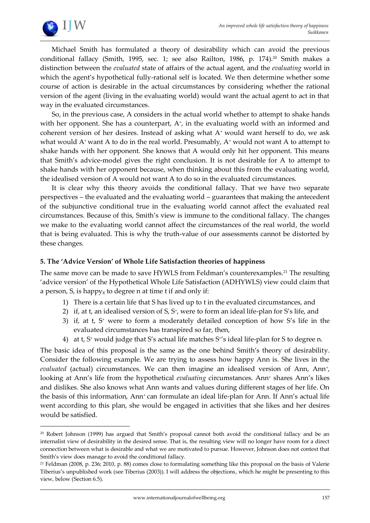

<u>.</u>

Michael Smith has formulated a theory of desirability which can avoid the previous conditional fallacy (Smith, 1995, sec. 1; see also Railton, 1986, p. 174).<sup>20</sup> Smith makes a distinction between the *evaluated* state of affairs of the actual agent, and the *evaluating* world in which the agent's hypothetical fully-rational self is located. We then determine whether some course of action is desirable in the actual circumstances by considering whether the rational version of the agent (living in the evaluating world) would want the actual agent to act in that way in the evaluated circumstances.

So, in the previous case, A considers in the actual world whether to attempt to shake hands with her opponent. She has a counterpart, A<sup>+</sup>, in the evaluating world with an informed and coherent version of her desires. Instead of asking what  $A<sup>+</sup>$  would want herself to do, we ask what would  $A^*$  want A to do in the real world. Presumably,  $A^*$  would not want A to attempt to shake hands with her opponent. She knows that A would only hit her opponent. This means that Smith's advice-model gives the right conclusion. It is not desirable for A to attempt to shake hands with her opponent because, when thinking about this from the evaluating world, the idealised version of A would not want A to do so in the evaluated circumstances.

It is clear why this theory avoids the conditional fallacy. That we have two separate perspectives – the evaluated and the evaluating world – guarantees that making the antecedent of the subjunctive conditional true in the evaluating world cannot affect the evaluated real circumstances. Because of this, Smith's view is immune to the conditional fallacy. The changes we make to the evaluating world cannot affect the circumstances of the real world, the world that is being evaluated. This is why the truth-value of our assessments cannot be distorted by these changes.

#### **5. The 'Advice Version' of Whole Life Satisfaction theories of happiness**

The same move can be made to save HYWLS from Feldman's counterexamples.<sup>21</sup> The resulting 'advice version' of the Hypothetical Whole Life Satisfaction (ADHYWLS) view could claim that a person,  $S$ , is happy<sub>g</sub> to degree n at time t if and only if:

- 1) There is a certain life that S has lived up to t in the evaluated circumstances, and
- 2) if, at t, an idealised version of S, S<sup>+</sup> , were to form an ideal life-plan for S's life, and
- 3) if, at t, S<sup>+</sup> were to form a moderately detailed conception of how S's life in the evaluated circumstances has transpired so far, then,
- 4) at t, S<sup>+</sup> would judge that S's actual life matches S<sup>+</sup> 's ideal life-plan for S to degree n.

The basic idea of this proposal is the same as the one behind Smith's theory of desirability. Consider the following example. We are trying to assess how happy Ann is. She lives in the *evaluated* (actual) circumstances. We can then imagine an idealised version of Ann, Ann<sup>+</sup> , looking at Ann's life from the hypothetical *evaluating* circumstances. Ann<sup>+</sup> shares Ann's likes and dislikes. She also knows what Ann wants and values during different stages of her life. On the basis of this information, Ann<sup>+</sup> can formulate an ideal life-plan for Ann. If Ann's actual life went according to this plan, she would be engaged in activities that she likes and her desires would be satisfied.

<sup>20</sup> Robert Johnson (1999) has argued that Smith's proposal cannot both avoid the conditional fallacy and be an internalist view of desirability in the desired sense. That is, the resulting view will no longer have room for a direct connection between what is desirable and what we are motivated to pursue. However, Johnson does not contest that Smith's view does manage to avoid the conditional fallacy.

<sup>21</sup> Feldman (2008, p. 236; 2010, p. 88) comes close to formulating something like this proposal on the basis of Valerie Tiberius's unpublished work (see Tiberius (2003)). I will address the objections, which he might be presenting to this view, below (Section 6.5).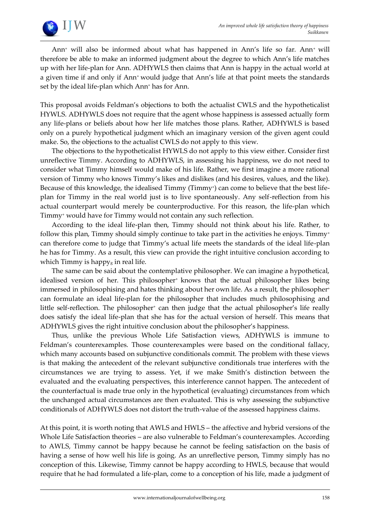

Ann<sup>+</sup> will also be informed about what has happened in Ann's life so far. Ann+ will therefore be able to make an informed judgment about the degree to which Ann's life matches up with her life-plan for Ann. ADHYWLS then claims that Ann is happy in the actual world at a given time if and only if Ann<sup>+</sup> would judge that Ann's life at that point meets the standards set by the ideal life-plan which Ann<sup>+</sup> has for Ann.

This proposal avoids Feldman's objections to both the actualist CWLS and the hypotheticalist HYWLS. ADHYWLS does not require that the agent whose happiness is assessed actually form any life-plans or beliefs about how her life matches those plans. Rather, ADHYWLS is based only on a purely hypothetical judgment which an imaginary version of the given agent could make. So, the objections to the actualist CWLS do not apply to this view.

The objections to the hypotheticalist HYWLS do not apply to this view either. Consider first unreflective Timmy. According to ADHYWLS, in assessing his happiness, we do not need to consider what Timmy himself would make of his life. Rather, we first imagine a more rational version of Timmy who knows Timmy's likes and dislikes (and his desires, values, and the like). Because of this knowledge, the idealised Timmy (Timmy<sup>+</sup> ) can come to believe that the best lifeplan for Timmy in the real world just is to live spontaneously. Any self-reflection from his actual counterpart would merely be counterproductive. For this reason, the life-plan which Timmy<sup>+</sup> would have for Timmy would not contain any such reflection.

According to the ideal life-plan then, Timmy should not think about his life. Rather, to follow this plan, Timmy should simply continue to take part in the activities he enjoys. Timmy<sup>+</sup> can therefore come to judge that Timmy's actual life meets the standards of the ideal life-plan he has for Timmy. As a result, this view can provide the right intuitive conclusion according to which Timmy is happy<sub>g</sub> in real life.

The same can be said about the contemplative philosopher. We can imagine a hypothetical, idealised version of her. This philosopher<sup>+</sup> knows that the actual philosopher likes being immersed in philosophising and hates thinking about her own life. As a result, the philosopher<sup>+</sup> can formulate an ideal life-plan for the philosopher that includes much philosophising and little self-reflection. The philosopher<sup>+</sup> can then judge that the actual philosopher's life really does satisfy the ideal life-plan that she has for the actual version of herself. This means that ADHYWLS gives the right intuitive conclusion about the philosopher's happiness.

Thus, unlike the previous Whole Life Satisfaction views, ADHYWLS is immune to Feldman's counterexamples. Those counterexamples were based on the conditional fallacy, which many accounts based on subjunctive conditionals commit. The problem with these views is that making the antecedent of the relevant subjunctive conditionals true interferes with the circumstances we are trying to assess. Yet, if we make Smith's distinction between the evaluated and the evaluating perspectives, this interference cannot happen. The antecedent of the counterfactual is made true only in the hypothetical (evaluating) circumstances from which the unchanged actual circumstances are then evaluated. This is why assessing the subjunctive conditionals of ADHYWLS does not distort the truth-value of the assessed happiness claims.

At this point, it is worth noting that AWLS and HWLS – the affective and hybrid versions of the Whole Life Satisfaction theories – are also vulnerable to Feldman's counterexamples. According to AWLS, Timmy cannot be happy because he cannot be feeling satisfaction on the basis of having a sense of how well his life is going. As an unreflective person, Timmy simply has no conception of this. Likewise, Timmy cannot be happy according to HWLS, because that would require that he had formulated a life-plan, come to a conception of his life, made a judgment of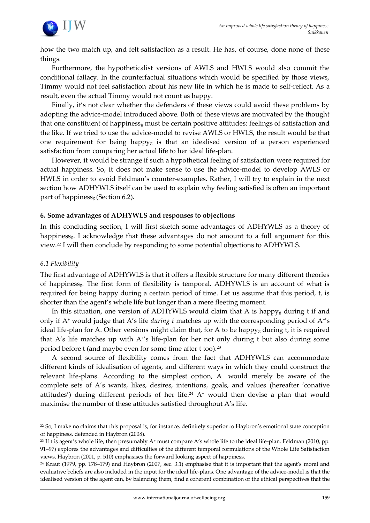

how the two match up, and felt satisfaction as a result. He has, of course, done none of these things.

Furthermore, the hypotheticalist versions of AWLS and HWLS would also commit the conditional fallacy. In the counterfactual situations which would be specified by those views, Timmy would not feel satisfaction about his new life in which he is made to self-reflect. As a result, even the actual Timmy would not count as happy.

Finally, it's not clear whether the defenders of these views could avoid these problems by adopting the advice-model introduced above. Both of these views are motivated by the thought that one constituent of happiness<sup>g</sup> must be certain positive attitudes: feelings of satisfaction and the like. If we tried to use the advice-model to revise AWLS or HWLS, the result would be that one requirement for being happy $<sub>g</sub>$  is that an idealised version of a person experienced</sub> satisfaction from comparing her actual life to her ideal life-plan.

However, it would be strange if such a hypothetical feeling of satisfaction were required for actual happiness. So, it does not make sense to use the advice-model to develop AWLS or HWLS in order to avoid Feldman's counter-examples. Rather, I will try to explain in the next section how ADHYWLS itself can be used to explain why feeling satisfied is often an important part of happinessg (Section 6.2).

#### **6. Some advantages of ADHYWLS and responses to objections**

In this concluding section, I will first sketch some advantages of ADHYWLS as a theory of happiness<sub>g</sub>. I acknowledge that these advantages do not amount to a full argument for this view.<sup>22</sup> I will then conclude by responding to some potential objections to ADHYWLS.

### *6.1 Flexibility*

1

The first advantage of ADHYWLS is that it offers a flexible structure for many different theories of happinessg. The first form of flexibility is temporal. ADHYWLS is an account of what is required for being happy during a certain period of time. Let us assume that this period, t, is shorter than the agent's whole life but longer than a mere fleeting moment.

In this situation, one version of ADHYWLS would claim that A is happy<sub>g</sub> during t if and only if A<sup>+</sup> would judge that A's life *during t* matches up with the corresponding period of A<sup>+</sup>'s ideal life-plan for A. Other versions might claim that, for A to be happy<sub>g</sub> during t, it is required that A's life matches up with A<sup>+'</sup>s life-plan for her not only during t but also during some period before t (and maybe even for some time after t too).<sup>23</sup>

A second source of flexibility comes from the fact that ADHYWLS can accommodate different kinds of idealisation of agents, and different ways in which they could construct the relevant life-plans. According to the simplest option,  $A<sup>+</sup>$  would merely be aware of the complete sets of A's wants, likes, desires, intentions, goals, and values (hereafter 'conative attitudes') during different periods of her life.<sup>24</sup> A<sup>+</sup> would then devise a plan that would maximise the number of these attitudes satisfied throughout A's life.

<sup>22</sup> So, I make no claims that this proposal is, for instance, definitely superior to Haybron's emotional state conception of happiness, defended in Haybron (2008).

<sup>&</sup>lt;sup>23</sup> If t is agent's whole life, then presumably A<sup>+</sup> must compare A's whole life to the ideal life-plan. Feldman (2010, pp. 91–97) explores the advantages and difficulties of the different temporal formulations of the Whole Life Satisfaction views. Haybron (2001, p. 510) emphasises the forward looking aspect of happiness.

<sup>24</sup> Kraut (1979, pp. 178–179) and Haybron (2007, sec. 3.1) emphasise that it is important that the agent's moral and evaluative beliefs are also included in the input for the ideal life-plans. One advantage of the advice-model is that the idealised version of the agent can, by balancing them, find a coherent combination of the ethical perspectives that the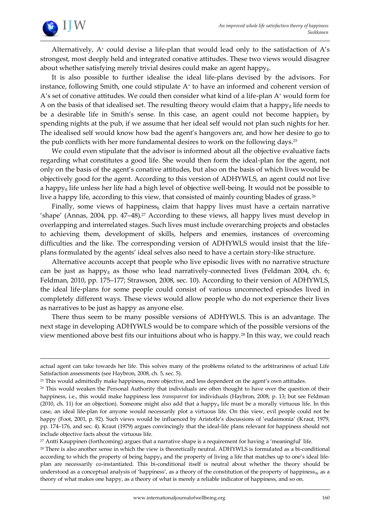

1

Alternatively, A<sup>+</sup> could devise a life-plan that would lead only to the satisfaction of A's strongest, most deeply held and integrated conative attitudes. These two views would disagree about whether satisfying merely trivial desires could make an agent happyg.

It is also possible to further idealise the ideal life-plans devised by the advisors. For instance, following Smith, one could stipulate A<sup>+</sup> to have an informed and coherent version of A's set of conative attitudes. We could then consider what kind of a life-plan  $A<sup>+</sup>$  would form for A on the basis of that idealised set. The resulting theory would claim that a happy<sub>g</sub> life needs to be a desirable life in Smith's sense. In this case, an agent could not become happier<sub>g</sub> by spending nights at the pub, if we assume that her ideal self would not plan such nights for her. The idealised self would know how bad the agent's hangovers are, and how her desire to go to the pub conflicts with her more fundamental desires to work on the following days.<sup>25</sup>

We could even stipulate that the advisor is informed about all the objective evaluative facts regarding what constitutes a good life. She would then form the ideal-plan for the agent, not only on the basis of the agent's conative attitudes, but also on the basis of which lives would be objectively good for the agent. According to this version of ADHYWLS, an agent could not live a happy<sub>g</sub> life unless her life had a high level of objective well-being. It would not be possible to live a happy life, according to this view, that consisted of mainly counting blades of grass.<sup>26</sup>

Finally, some views of happiness<sub>g</sub> claim that happy lives must have a certain narrative 'shape' (Annas, 2004, pp. 47–48).<sup>27</sup> According to these views, all happy lives must develop in overlapping and interrelated stages. Such lives must include overarching projects and obstacles to achieving them, development of skills, helpers and enemies, instances of overcoming difficulties and the like. The corresponding version of ADHYWLS would insist that the lifeplans formulated by the agents' ideal selves also need to have a certain story-like structure.

Alternative accounts accept that people who live episodic lives with no narrative structure can be just as happy<sub>g</sub> as those who lead narratively-connected lives (Feldman 2004, ch. 6; Feldman, 2010, pp. 175–177; Strawson, 2008, sec. 10). According to their version of ADHYWLS, the ideal life-plans for some people could consist of various unconnected episodes lived in completely different ways. These views would allow people who do not experience their lives as narratives to be just as happy as anyone else.

There thus seem to be many possible versions of ADHYWLS. This is an advantage. The next stage in developing ADHYWLS would be to compare which of the possible versions of the view mentioned above best fits our intuitions about who is happy.<sup>28</sup> In this way, we could reach

actual agent can take towards her life. This solves many of the problems related to the arbitrariness of actual Life Satisfaction assessments (see Haybron, 2008, ch. 5, sec. 5).

 $25$  This would admittedly make happiness<sub>g</sub> more objective, and less dependent on the agent's own attitudes.

<sup>&</sup>lt;sup>26</sup> This would weaken the Personal Authority that individuals are often thought to have over the question of their happiness, i.e., this would make happiness less *transparent* for individuals (Haybron, 2008, p. 13; but see Feldman (2010, ch. 11) for an objection). Someone might also add that a happyg life must be a morally virtuous life. In this case, an ideal life-plan for anyone would necessarily plot a virtuous life. On this view, evil people could not be happy (Foot, 2001, p. 92). Such views would be influenced by Aristotle's discussions of 'eudaimonia' (Kraut, 1979, pp. 174–176, and sec. 4). Kraut (1979) argues convincingly that the ideal-life plans relevant for happiness should not include objective facts about the virtuous life.

<sup>27</sup> Antti Kauppinen (forthcoming) argues that a narrative shape is a requirement for having a 'meaningful' life.

<sup>&</sup>lt;sup>28</sup> There is also another sense in which the view is theoretically neutral. ADHYWLS is formulated as a bi-conditional according to which the property of being happy<sub>g</sub> and the property of living a life that matches up to one's ideal lifeplan are necessarily co-instantiated. This bi-conditional itself is neutral about whether the theory should be understood as a conceptual analysis of 'happiness', as a theory of the constitution of the property of happiness<sub>g</sub>, as a theory of what makes one happy, as a theory of what is merely a reliable indicator of happiness, and so on.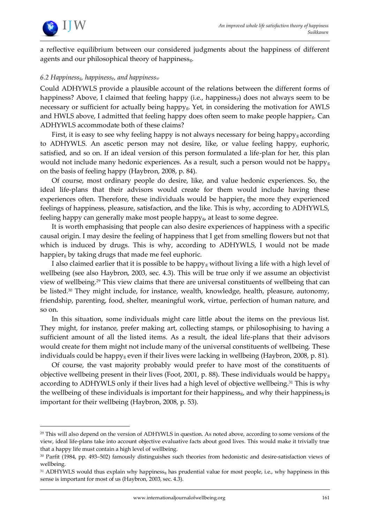

<u>.</u>

a reflective equilibrium between our considered judgments about the happiness of different agents and our philosophical theory of happiness<sub>g</sub>.

### *6.2 Happinessg, happinessp, and happiness<sup>w</sup>*

Could ADHYWLS provide a plausible account of the relations between the different forms of happiness? Above, I claimed that feeling happy (i.e., happiness<sub>p</sub>) does not always seem to be necessary or sufficient for actually being happyg. Yet, in considering the motivation for AWLS and HWLS above, I admitted that feeling happy does often seem to make people happierg. Can ADHYWLS accommodate both of these claims?

First, it is easy to see why feeling happy is not always necessary for being happy<sub>g</sub> according to ADHYWLS. An ascetic person may not desire, like, or value feeling happy, euphoric, satisfied, and so on. If an ideal version of this person formulated a life-plan for her, this plan would not include many hedonic experiences. As a result, such a person would not be happyg on the basis of feeling happy (Haybron, 2008, p. 84).

Of course, most ordinary people do desire, like, and value hedonic experiences. So, the ideal life-plans that their advisors would create for them would include having these experiences often. Therefore, these individuals would be happier<sub>g</sub> the more they experienced feelings of happiness, pleasure, satisfaction, and the like. This is why, according to ADHYWLS, feeling happy can generally make most people happy<sub>g</sub>, at least to some degree.

It is worth emphasising that people can also desire experiences of happiness with a specific causal origin. I may desire the feeling of happiness that I get from smelling flowers but not that which is induced by drugs. This is why, according to ADHYWLS, I would not be made happier<sup>g</sup> by taking drugs that made me feel euphoric.

I also claimed earlier that it is possible to be happy<sub>g</sub> without living a life with a high level of wellbeing (see also Haybron, 2003, sec. 4.3). This will be true only if we assume an objectivist view of wellbeing.<sup>29</sup> This view claims that there are universal constituents of wellbeing that can be listed.<sup>30</sup> They might include, for instance, wealth, knowledge, health, pleasure, autonomy, friendship, parenting, food, shelter, meaningful work, virtue, perfection of human nature, and so on.

In this situation, some individuals might care little about the items on the previous list. They might, for instance, prefer making art, collecting stamps, or philosophising to having a sufficient amount of all the listed items. As a result, the ideal life-plans that their advisors would create for them might not include many of the universal constituents of wellbeing. These individuals could be happy<sub>g</sub> even if their lives were lacking in wellbeing (Haybron, 2008, p. 81).

Of course, the vast majority probably would prefer to have most of the constituents of objective wellbeing present in their lives (Foot, 2001, p. 88). These individuals would be happy<sub>g</sub> according to ADHYWLS only if their lives had a high level of objective wellbeing.<sup>31</sup> This is why the wellbeing of these individuals is important for their happiness<sub>g</sub>, and why their happiness<sub>g</sub> is important for their wellbeing (Haybron, 2008, p. 53).

<sup>&</sup>lt;sup>29</sup> This will also depend on the version of ADHYWLS in question. As noted above, according to some versions of the view, ideal life-plans take into account objective evaluative facts about good lives. This would make it trivially true that a happy life must contain a high level of wellbeing.

<sup>30</sup> Parfit (1984, pp. 493–502) famously distinguishes such theories from hedonistic and desire-satisfaction views of wellbeing.

<sup>&</sup>lt;sup>31</sup> ADHYWLS would thus explain why happiness<sub>g</sub> has prudential value for most people, i.e., why happiness in this sense is important for most of us (Haybron, 2003, sec. 4.3).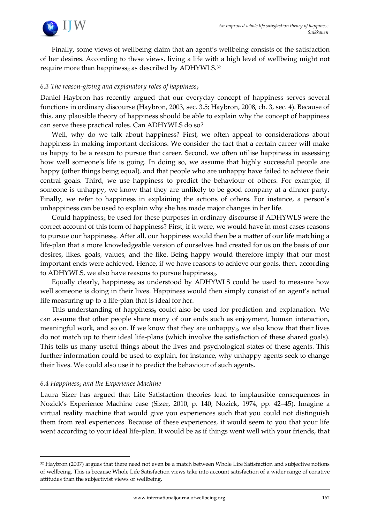

Finally, some views of wellbeing claim that an agent's wellbeing consists of the satisfaction of her desires. According to these views, living a life with a high level of wellbeing might not require more than happiness<sub>g</sub> as described by ADHYWLS.<sup>32</sup>

#### *6.3 The reason-giving and explanatory roles of happiness<sup>g</sup>*

Daniel Haybron has recently argued that our everyday concept of happiness serves several functions in ordinary discourse (Haybron, 2003, sec. 3.5; Haybron, 2008, ch. 3, sec. 4). Because of this, any plausible theory of happiness should be able to explain why the concept of happiness can serve these practical roles. Can ADHYWLS do so?

Well, why do we talk about happiness? First, we often appeal to considerations about happiness in making important decisions. We consider the fact that a certain career will make us happy to be a reason to pursue that career. Second, we often utilise happiness in assessing how well someone's life is going. In doing so, we assume that highly successful people are happy (other things being equal), and that people who are unhappy have failed to achieve their central goals. Third, we use happiness to predict the behaviour of others. For example, if someone is unhappy, we know that they are unlikely to be good company at a dinner party. Finally, we refer to happiness in explaining the actions of others. For instance, a person's unhappiness can be used to explain why she has made major changes in her life.

Could happiness<sub>g</sub> be used for these purposes in ordinary discourse if ADHYWLS were the correct account of this form of happiness? First, if it were, we would have in most cases reasons to pursue our happinessg. After all, our happiness would then be a matter of our life matching a life-plan that a more knowledgeable version of ourselves had created for us on the basis of our desires, likes, goals, values, and the like. Being happy would therefore imply that our most important ends were achieved. Hence, if we have reasons to achieve our goals, then, according to ADHYWLS, we also have reasons to pursue happinessg.

Equally clearly, happiness $<sub>g</sub>$  as understood by ADHYWLS could be used to measure how</sub> well someone is doing in their lives. Happiness would then simply consist of an agent's actual life measuring up to a life-plan that is ideal for her.

This understanding of happiness<sub>g</sub> could also be used for prediction and explanation. We can assume that other people share many of our ends such as enjoyment, human interaction, meaningful work, and so on. If we know that they are unhappy<sub>g</sub>, we also know that their lives do not match up to their ideal life-plans (which involve the satisfaction of these shared goals). This tells us many useful things about the lives and psychological states of these agents. This further information could be used to explain, for instance, why unhappy agents seek to change their lives. We could also use it to predict the behaviour of such agents.

#### *6.4 Happiness<sup>g</sup> and the Experience Machine*

1

Laura Sizer has argued that Life Satisfaction theories lead to implausible consequences in Nozick's Experience Machine case (Sizer, 2010, p. 140; Nozick, 1974, pp. 42–45). Imagine a virtual reality machine that would give you experiences such that you could not distinguish them from real experiences. Because of these experiences, it would seem to you that your life went according to your ideal life-plan. It would be as if things went well with your friends, that

<sup>32</sup> Haybron (2007) argues that there need not even be a match between Whole Life Satisfaction and subjective notions of wellbeing. This is because Whole Life Satisfaction views take into account satisfaction of a wider range of conative attitudes than the subjectivist views of wellbeing.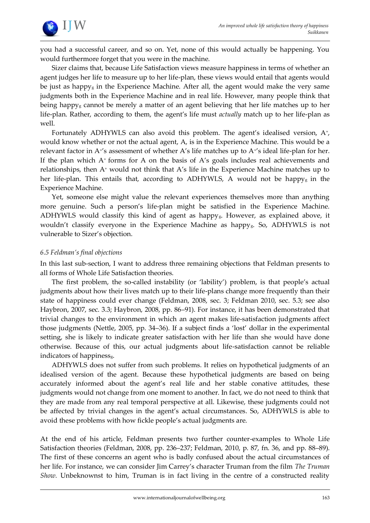

you had a successful career, and so on. Yet, none of this would actually be happening. You would furthermore forget that you were in the machine.

Sizer claims that, because Life Satisfaction views measure happiness in terms of whether an agent judges her life to measure up to her life-plan, these views would entail that agents would be just as happy<sub>g</sub> in the Experience Machine. After all, the agent would make the very same judgments both in the Experience Machine and in real life. However, many people think that being happy<sub>g</sub> cannot be merely a matter of an agent believing that her life matches up to her life-plan. Rather, according to them, the agent's life must *actually* match up to her life-plan as well.

Fortunately ADHYWLS can also avoid this problem. The agent's idealised version, A<sup>+</sup>, would know whether or not the actual agent, A, is in the Experience Machine. This would be a relevant factor in A<sup>1</sup>'s assessment of whether A's life matches up to A<sup>1</sup>'s ideal life-plan for her. If the plan which  $A<sup>+</sup>$  forms for A on the basis of  $A<sup>'</sup>$  goals includes real achievements and relationships, then A<sup>+</sup> would not think that A's life in the Experience Machine matches up to her life-plan. This entails that, according to ADHYWLS, A would not be happyg in the Experience Machine.

Yet, someone else might value the relevant experiences themselves more than anything more genuine. Such a person's life-plan might be satisfied in the Experience Machine. ADHYWLS would classify this kind of agent as happy<sub>g</sub>. However, as explained above, it wouldn't classify everyone in the Experience Machine as happyg. So, ADHYWLS is not vulnerable to Sizer's objection.

#### *6.5 Feldman's final objections*

In this last sub-section, I want to address three remaining objections that Feldman presents to all forms of Whole Life Satisfaction theories.

The first problem, the so-called instability (or 'lability') problem, is that people's actual judgments about how their lives match up to their life-plans change more frequently than their state of happiness could ever change (Feldman, 2008, sec. 3; Feldman 2010, sec. 5.3; see also Haybron, 2007, sec. 3.3; Haybron, 2008, pp. 86–91). For instance, it has been demonstrated that trivial changes to the environment in which an agent makes life-satisfaction judgments affect those judgments (Nettle, 2005, pp. 34–36). If a subject finds a 'lost' dollar in the experimental setting, she is likely to indicate greater satisfaction with her life than she would have done otherwise. Because of this, our actual judgments about life-satisfaction cannot be reliable indicators of happinessg.

ADHYWLS does not suffer from such problems. It relies on hypothetical judgments of an idealised version of the agent. Because these hypothetical judgments are based on being accurately informed about the agent's real life and her stable conative attitudes, these judgments would not change from one moment to another. In fact, we do not need to think that they are made from any real temporal perspective at all. Likewise, these judgments could not be affected by trivial changes in the agent's actual circumstances. So, ADHYWLS is able to avoid these problems with how fickle people's actual judgments are.

At the end of his article, Feldman presents two further counter-examples to Whole Life Satisfaction theories (Feldman, 2008, pp. 236–237; Feldman, 2010, p. 87, fn. 36, and pp. 88–89). The first of these concerns an agent who is badly confused about the actual circumstances of her life. For instance, we can consider Jim Carrey's character Truman from the film *The Truman Show.* Unbeknownst to him, Truman is in fact living in the centre of a constructed reality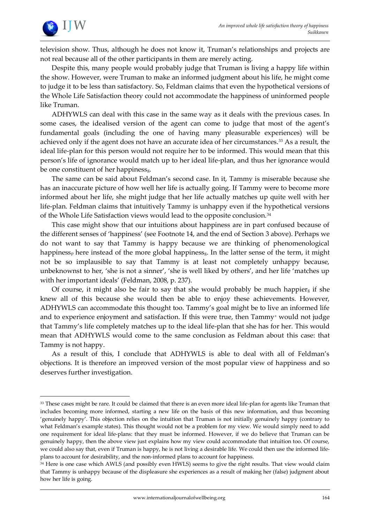

1

television show. Thus, although he does not know it, Truman's relationships and projects are not real because all of the other participants in them are merely acting.

Despite this, many people would probably judge that Truman is living a happy life within the show. However, were Truman to make an informed judgment about his life, he might come to judge it to be less than satisfactory. So, Feldman claims that even the hypothetical versions of the Whole Life Satisfaction theory could not accommodate the happiness of uninformed people like Truman.

ADHYWLS can deal with this case in the same way as it deals with the previous cases. In some cases, the idealised version of the agent can come to judge that most of the agent's fundamental goals (including the one of having many pleasurable experiences) will be achieved only if the agent does not have an accurate idea of her circumstances.<sup>33</sup> As a result, the ideal life-plan for this person would not require her to be informed. This would mean that this person's life of ignorance would match up to her ideal life-plan, and thus her ignorance would be one constituent of her happinessg.

The same can be said about Feldman's second case. In it, Tammy is miserable because she has an inaccurate picture of how well her life is actually going. If Tammy were to become more informed about her life, she might judge that her life actually matches up quite well with her life-plan. Feldman claims that intuitively Tammy is unhappy even if the hypothetical versions of the Whole Life Satisfaction views would lead to the opposite conclusion.<sup>34</sup>

This case might show that our intuitions about happiness are in part confused because of the different senses of 'happiness' (see Footnote 14, and the end of Section 3 above). Perhaps we do not want to say that Tammy is happy because we are thinking of phenomenological happiness<sub>p</sub> here instead of the more global happiness<sub>g</sub>. In the latter sense of the term, it might not be so implausible to say that Tammy is at least not completely unhappy because, unbeknownst to her, 'she is not a sinner', 'she is well liked by others', and her life 'matches up with her important ideals' (Feldman, 2008, p. 237).

Of course, it might also be fair to say that she would probably be much happierg if she knew all of this because she would then be able to enjoy these achievements. However, ADHYWLS can accommodate this thought too. Tammy's goal might be to live an informed life and to experience enjoyment and satisfaction. If this were true, then Tammy<sup>+</sup> would not judge that Tammy's life completely matches up to the ideal life-plan that she has for her. This would mean that ADHYWLS would come to the same conclusion as Feldman about this case: that Tammy is not happy.

As a result of this, I conclude that ADHYWLS is able to deal with all of Feldman's objections. It is therefore an improved version of the most popular view of happiness and so deserves further investigation.

<sup>33</sup> These cases might be rare. It could be claimed that there is an even more ideal life-plan for agents like Truman that includes becoming more informed, starting a new life on the basis of this new information, and thus becoming 'genuinely happy'. This objection relies on the intuition that Truman is not initially genuinely happy (contrary to what Feldman's example states). This thought would not be a problem for my view. We would simply need to add one requirement for ideal life-plans: that they must be informed. However, if we do believe that Truman can be genuinely happy, then the above view just explains how my view could accommodate that intuition too. Of course, we could also say that, even if Truman is happy, he is not living a desirable life. We could then use the informed lifeplans to account for desirability, and the non-informed plans to account for happiness.

<sup>&</sup>lt;sup>34</sup> Here is one case which AWLS (and possibly even HWLS) seems to give the right results. That view would claim that Tammy is unhappy because of the displeasure she experiences as a result of making her (false) judgment about how her life is going.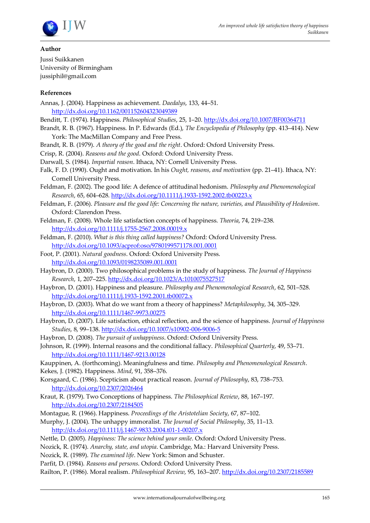

#### **Author**

Jussi Suikkanen University of Birmingham jussiphil@gmail.com

#### **References**

- Annas, J. (2004). Happiness as achievement. *Daedalys*, 133, 44–51. <http://dx.doi.org/10.1162/001152604323049389>
- Benditt, T. (1974). Happiness. *Philosophical Studies*, 25, 1–20.<http://dx.doi.org/10.1007/BF00364711>
- Brandt, R. B. (1967). Happiness. In P. Edwards (Ed.), *The Encyclopedia of Philosophy* (pp. 413–414). New York: The MacMillan Company and Free Press.
- Brandt, R. B. (1979). *A theory of the good and the right*. Oxford: Oxford University Press.
- Crisp, R. (2004). *Reasons and the good*. Oxford: Oxford University Press.
- Darwall, S. (1984). *Impartial reason*. Ithaca, NY: Cornell University Press.
- Falk, F. D. (1990). Ought and motivation. In his *Ought, reasons, and motivation* (pp. 21–41). Ithaca, NY: Cornell University Press.
- Feldman, F. (2002). The good life: A defence of attitudinal hedonism. *Philosophy and Phenomenological Research*, 65, 604–628.<http://dx.doi.org/10.1111/j.1933-1592.2002.tb00223.x>
- Feldman, F. (2006). *Pleasure and the good life: Concerning the nature, varieties, and Plausibility of Hedonism*. Oxford: Clarendon Press.
- Feldman, F. (2008). Whole life satisfaction concepts of happiness. *Theoria*, 74, 219–238. <http://dx.doi.org/10.1111/j.1755-2567.2008.00019.x>
- Feldman, F. (2010). *What is this thing called happiness?* Oxford: Oxford University Press. <http://dx.doi.org/10.1093/acprof:oso/9780199571178.001.0001>
- Foot, P. (2001). *Natural goodness*. Oxford: Oxford University Press. <http://dx.doi.org/10.1093/0198235089.001.0001>
- Haybron, D. (2000). Two philosophical problems in the study of happiness. *The Journal of Happiness Research*, 1, 207–225.<http://dx.doi.org/10.1023/A:1010075527517>
- Haybron, D. (2001). Happiness and pleasure. *Philosophy and Phenomenological Research*, 62, 501–528. <http://dx.doi.org/10.1111/j.1933-1592.2001.tb00072.x>
- Haybron, D. (2003). What do we want from a theory of happiness? *Metaphilosophy*, 34, 305–329. <http://dx.doi.org/10.1111/1467-9973.00275>
- Haybron, D. (2007). Life satisfaction, ethical reflection, and the science of happiness. *Journal of Happiness Studies*, 8, 99–138.<http://dx.doi.org/10.1007/s10902-006-9006-5>
- Haybron, D. (2008). *The pursuit of unhappiness*. Oxford: Oxford University Press.
- Johnson, R. (1999). Internal reasons and the conditional fallacy. *Philosophical Quarterly*, 49, 53–71. <http://dx.doi.org/10.1111/1467-9213.00128>
- Kauppinen, A. (forthcoming). Meaningfulness and time. *Philosophy and Phenomenological Research*.
- Kekes, J. (1982). Happiness. *Mind*, 91, 358–376.
- Korsgaard, C. (1986). Scepticism about practical reason. *Journal of Philosophy*, 83, 738–753. <http://dx.doi.org/10.2307/2026464>
- Kraut, R. (1979). Two Conceptions of happiness. *The Philosophical Review*, 88, 167–197. <http://dx.doi.org/10.2307/2184505>
- Montague, R. (1966). Happiness. *Proceedings of the Aristotelian Society*, 67, 87–102.
- Murphy, J. (2004). The unhappy immoralist. *The Journal of Social Philosophy*, 35, 11–13. <http://dx.doi.org/10.1111/j.1467-9833.2004.t01-1-00207.x>
- Nettle, D. (2005). *Happiness: The science behind your smile*. Oxford: Oxford University Press.
- Nozick, R. (1974). *Anarchy, state, and utopia*. Cambridge, Ma.: Harvard University Press.
- Nozick, R. (1989). *The examined life*. New York: Simon and Schuster.
- Parfit, D. (1984). *Reasons and persons*. Oxford: Oxford University Press.

Railton, P. (1986). Moral realism. *Philosophical Review*, 95, 163–207.<http://dx.doi.org/10.2307/2185589>